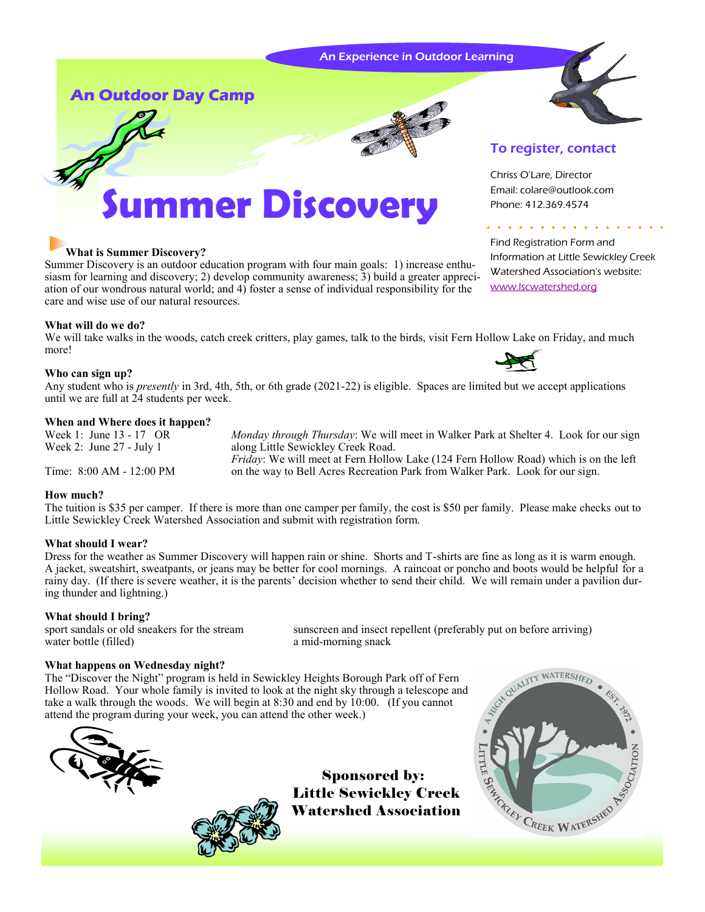#### An Experience in Outdoor Learning



Find Registration Form and

Chriss O'Lare, Director Email: colare@outlook.com Phone: 412.369.4574

To register, contact

[www.lscwatershed.org](http://www.lscwatershed.org/)

Information at Little Sewickley Creek Watershed Association's website:

**An Outdoor Day Camp** 



# **Immer Discovery**

### **What is Summer Discovery?**

Summer Discovery is an outdoor education program with four main goals: 1) increase enthusiasm for learning and discovery; 2) develop community awareness; 3) build a greater appreciation of our wondrous natural world; and 4) foster a sense of individual responsibility for the care and wise use of our natural resources.

#### **What will do we do?**

We will take walks in the woods, catch creek critters, play games, talk to the birds, visit Fern Hollow Lake on Friday, and much more!

#### **Who can sign up?**

Any student who is *presently* in 3rd, 4th, 5th, or 6th grade (2021-22) is eligible. Spaces are limited but we accept applications until we are full at 24 students per week.

#### **When and Where does it happen?**

Week 1: June 13 - 17 OR *Monday through Thursday*: We will meet in Walker Park at Shelter 4. Look for our sign Week 2: June 27 - July 1 along Little Sewickley Creek Road. *Friday*: We will meet at Fern Hollow Lake (124 Fern Hollow Road) which is on the left

Time: 8:00 AM - 12:00 PM on the way to Bell Acres Recreation Park from Walker Park. Look for our sign.

#### **How much?**

The tuition is \$35 per camper. If there is more than one camper per family, the cost is \$50 per family. Please make checks out to Little Sewickley Creek Watershed Association and submit with registration form.

#### **What should I wear?**

Dress for the weather as Summer Discovery will happen rain or shine. Shorts and T-shirts are fine as long as it is warm enough. A jacket, sweatshirt, sweatpants, or jeans may be better for cool mornings. A raincoat or poncho and boots would be helpful for a rainy day. (If there is severe weather, it is the parents' decision whether to send their child. We will remain under a pavilion during thunder and lightning.)

#### **What should I bring?**

water bottle (filled) a mid-morning snack

sport sandals or old sneakers for the stream sunscreen and insect repellent (preferably put on before arriving)

#### **What happens on Wednesday night?**

The "Discover the Night" program is held in Sewickley Heights Borough Park off of Fern Hollow Road. Your whole family is invited to look at the night sky through a telescope and take a walk through the woods. We will begin at 8:30 and end by 10:00. (If you cannot attend the program during your week, you can attend the other week.)





Sponsored by: Little Sewickley Creek Watershed Association